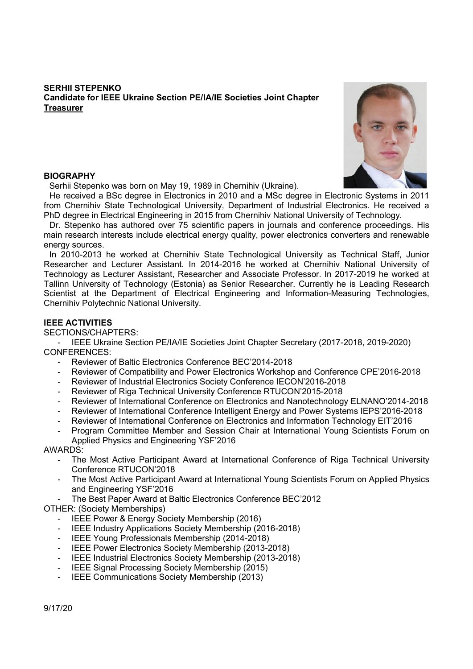# SERHII STEPENKO Candidate for IEEE Ukraine Section PE/IA/IE Societies Joint Chapter **Treasurer**



## **BIOGRAPHY**

Serhii Stepenko was born on May 19, 1989 in Chernihiv (Ukraine).

He received a BSc degree in Electronics in 2010 and a MSc degree in Electronic Systems in 2011 from Chernihiv State Technological University, Department of Industrial Electronics. He received a PhD degree in Electrical Engineering in 2015 from Chernihiv National University of Technology.

Dr. Stepenko has authored over 75 scientific papers in journals and conference proceedings. His main research interests include electrical energy quality, power electronics converters and renewable energy sources.

In 2010-2013 he worked at Chernihiv State Technological University as Technical Staff, Junior Researcher and Lecturer Assistant. In 2014-2016 he worked at Chernihiv National University of Technology as Lecturer Assistant, Researcher and Associate Professor. In 2017-2019 he worked at Tallinn University of Technology (Estonia) as Senior Researcher. Currently he is Leading Research Scientist at the Department of Electrical Engineering and Information-Measuring Technologies, Chernihiv Polytechnic National University.

## IEEE ACTIVITIES

SECTIONS/CHAPTERS:

- IEEE Ukraine Section PE/IA/IE Societies Joint Chapter Secretary (2017-2018, 2019-2020) CONFERENCES:

- Reviewer of Baltic Electronics Conference BEC'2014-2018
- Reviewer of Compatibility and Power Electronics Workshop and Conference CPE'2016-2018
- Reviewer of Industrial Electronics Society Conference IECON'2016-2018
- Reviewer of Riga Technical University Conference RTUCON'2015-2018
- Reviewer of International Conference on Electronics and Nanotechnology ELNANO'2014-2018
- Reviewer of International Conference Intelligent Energy and Power Systems IEPS'2016-2018
- Reviewer of International Conference on Electronics and Information Technology EIT'2016
- Program Committee Member and Session Chair at International Young Scientists Forum on Applied Physics and Engineering YSF'2016

AWARDS:

- The Most Active Participant Award at International Conference of Riga Technical University Conference RTUCON'2018
- The Most Active Participant Award at International Young Scientists Forum on Applied Physics and Engineering YSF'2016
- The Best Paper Award at Baltic Electronics Conference BEC'2012

OTHER: (Society Memberships)

- IEEE Power & Energy Society Membership (2016)
- IEEE Industry Applications Society Membership (2016-2018)
- IEEE Young Professionals Membership (2014-2018)
- IEEE Power Electronics Society Membership (2013-2018)
- IEEE Industrial Electronics Society Membership (2013-2018)
- IEEE Signal Processing Society Membership (2015)
- IEEE Communications Society Membership (2013)